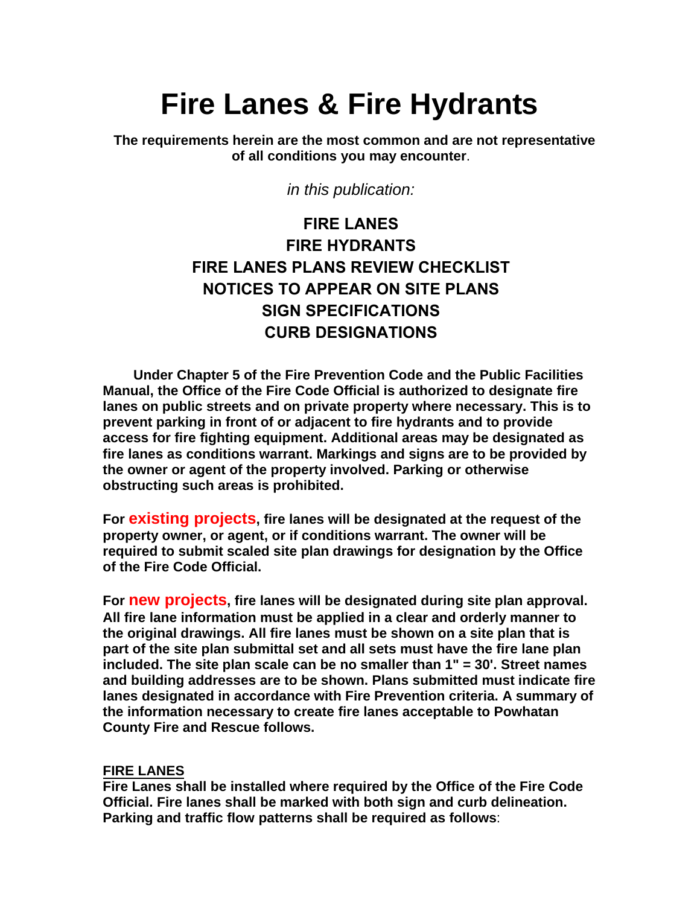# **Fire Lanes & Fire Hydrants**

**The requirements herein are the most common and are not representative of all conditions you may encounter**.

*in this publication:*

# **FIRE LANES FIRE HYDRANTS FIRE LANES PLANS REVIEW CHECKLIST NOTICES TO APPEAR ON SITE PLANS SIGN SPECIFICATIONS CURB DESIGNATIONS**

**Under Chapter 5 of the Fire Prevention Code and the Public Facilities Manual, the Office of the Fire Code Official is authorized to designate fire lanes on public streets and on private property where necessary. This is to prevent parking in front of or adjacent to fire hydrants and to provide access for fire fighting equipment. Additional areas may be designated as fire lanes as conditions warrant. Markings and signs are to be provided by the owner or agent of the property involved. Parking or otherwise obstructing such areas is prohibited.**

**For existing projects, fire lanes will be designated at the request of the property owner, or agent, or if conditions warrant. The owner will be required to submit scaled site plan drawings for designation by the Office of the Fire Code Official.**

**For new projects, fire lanes will be designated during site plan approval. All fire lane information must be applied in a clear and orderly manner to the original drawings. All fire lanes must be shown on a site plan that is part of the site plan submittal set and all sets must have the fire lane plan included. The site plan scale can be no smaller than 1" = 30'. Street names and building addresses are to be shown. Plans submitted must indicate fire lanes designated in accordance with Fire Prevention criteria. A summary of the information necessary to create fire lanes acceptable to Powhatan County Fire and Rescue follows.**

#### **FIRE LANES**

**Fire Lanes shall be installed where required by the Office of the Fire Code Official. Fire lanes shall be marked with both sign and curb delineation. Parking and traffic flow patterns shall be required as follows**: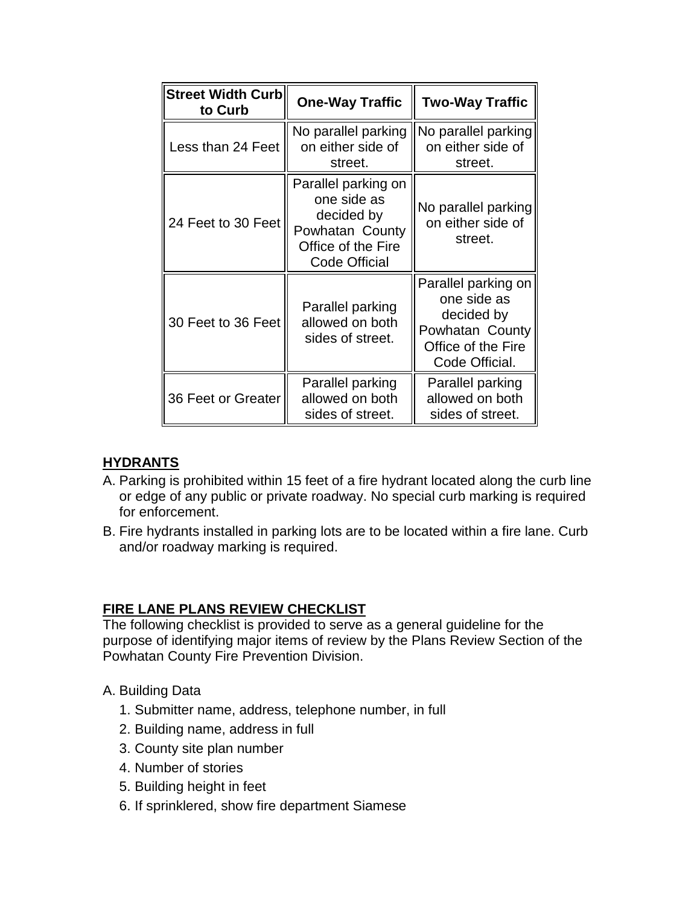| <b>Street Width Curb</b><br>to Curb | <b>One-Way Traffic</b>                                                                                            | <b>Two-Way Traffic</b>                                                                                      |
|-------------------------------------|-------------------------------------------------------------------------------------------------------------------|-------------------------------------------------------------------------------------------------------------|
| Less than 24 Feet                   | No parallel parking<br>on either side of<br>street.                                                               | No parallel parking<br>on either side of<br>street.                                                         |
| 24 Feet to 30 Feet                  | Parallel parking on<br>one side as<br>decided by<br>Powhatan County<br>Office of the Fire<br><b>Code Official</b> | No parallel parking<br>on either side of<br>street.                                                         |
| 30 Feet to 36 Feet                  | Parallel parking<br>allowed on both<br>sides of street.                                                           | Parallel parking on<br>one side as<br>decided by<br>Powhatan County<br>Office of the Fire<br>Code Official. |
| 36 Feet or Greater                  | Parallel parking<br>allowed on both<br>sides of street.                                                           | Parallel parking<br>allowed on both<br>sides of street.                                                     |

# **HYDRANTS**

- A. Parking is prohibited within 15 feet of a fire hydrant located along the curb line or edge of any public or private roadway. No special curb marking is required for enforcement.
- B. Fire hydrants installed in parking lots are to be located within a fire lane. Curb and/or roadway marking is required.

# **FIRE LANE PLANS REVIEW CHECKLIST**

The following checklist is provided to serve as a general guideline for the purpose of identifying major items of review by the Plans Review Section of the Powhatan County Fire Prevention Division.

- A. Building Data
	- 1. Submitter name, address, telephone number, in full
	- 2. Building name, address in full
	- 3. County site plan number
	- 4. Number of stories
	- 5. Building height in feet
	- 6. If sprinklered, show fire department Siamese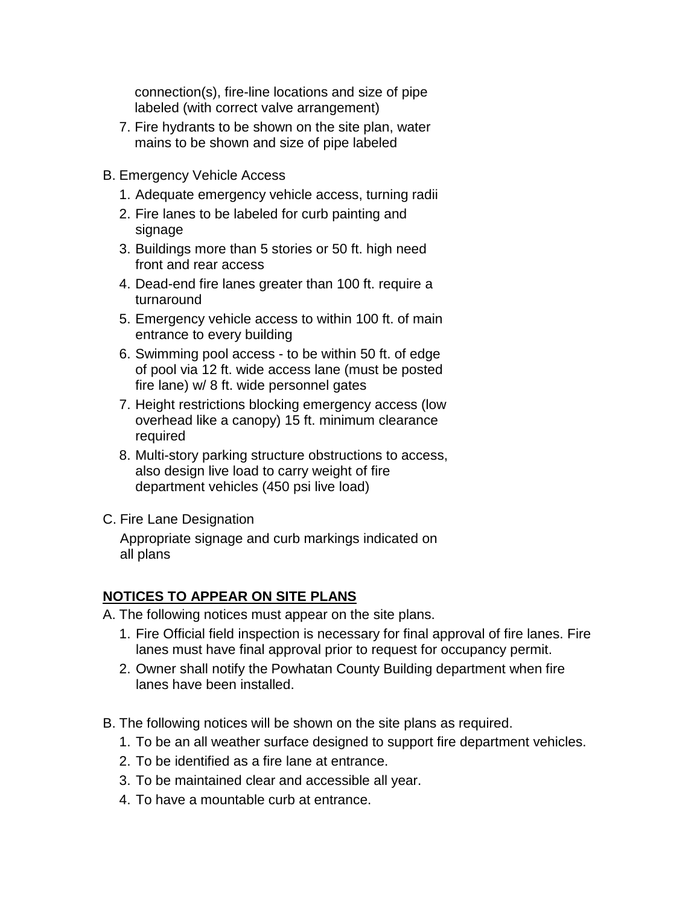connection(s), fire-line locations and size of pipe labeled (with correct valve arrangement)

- 7. Fire hydrants to be shown on the site plan, water mains to be shown and size of pipe labeled
- B. Emergency Vehicle Access
	- 1. Adequate emergency vehicle access, turning radii
	- 2. Fire lanes to be labeled for curb painting and signage
	- 3. Buildings more than 5 stories or 50 ft. high need front and rear access
	- 4. Dead-end fire lanes greater than 100 ft. require a turnaround
	- 5. Emergency vehicle access to within 100 ft. of main entrance to every building
	- 6. Swimming pool access to be within 50 ft. of edge of pool via 12 ft. wide access lane (must be posted fire lane) w/ 8 ft. wide personnel gates
	- 7. Height restrictions blocking emergency access (low overhead like a canopy) 15 ft. minimum clearance required
	- 8. Multi-story parking structure obstructions to access, also design live load to carry weight of fire department vehicles (450 psi live load)

#### C. Fire Lane Designation

Appropriate signage and curb markings indicated on all plans

#### **NOTICES TO APPEAR ON SITE PLANS**

A. The following notices must appear on the site plans.

- 1. Fire Official field inspection is necessary for final approval of fire lanes. Fire lanes must have final approval prior to request for occupancy permit.
- 2. Owner shall notify the Powhatan County Building department when fire lanes have been installed.
- B. The following notices will be shown on the site plans as required.
	- 1. To be an all weather surface designed to support fire department vehicles.
	- 2. To be identified as a fire lane at entrance.
	- 3. To be maintained clear and accessible all year.
	- 4. To have a mountable curb at entrance.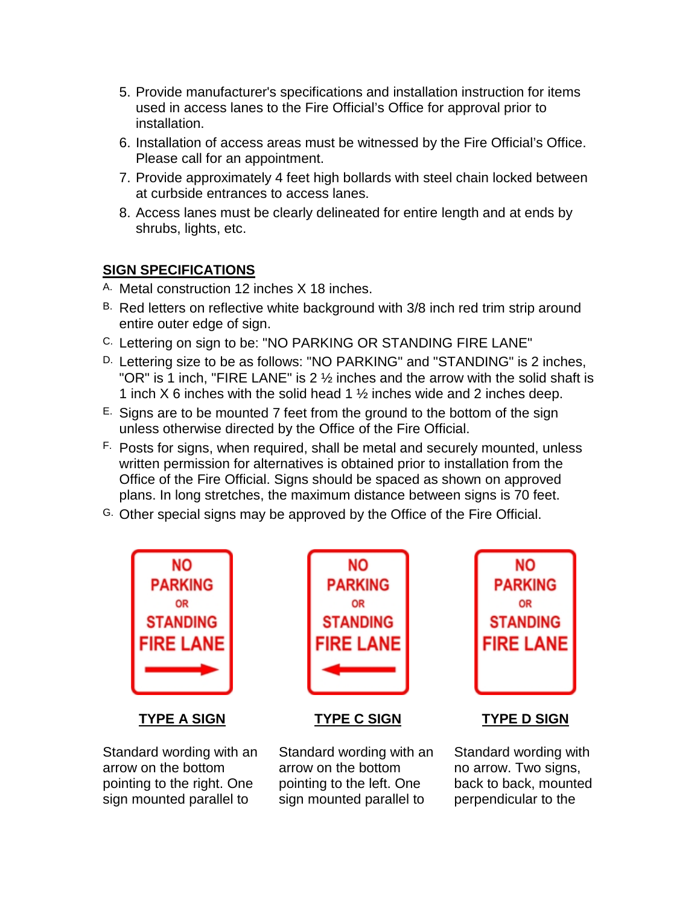- 5. Provide manufacturer's specifications and installation instruction for items used in access lanes to the Fire Official's Office for approval prior to installation.
- 6. Installation of access areas must be witnessed by the Fire Official's Office. Please call for an appointment.
- 7. Provide approximately 4 feet high bollards with steel chain locked between at curbside entrances to access lanes.
- 8. Access lanes must be clearly delineated for entire length and at ends by shrubs, lights, etc.

# **SIGN SPECIFICATIONS**

- A. Metal construction 12 inches X 18 inches.
- B. Red letters on reflective white background with 3/8 inch red trim strip around entire outer edge of sign.
- C. Lettering on sign to be: "NO PARKING OR STANDING FIRE LANE"
- D. Lettering size to be as follows: "NO PARKING" and "STANDING" is 2 inches, "OR" is 1 inch, "FIRE LANE" is 2 ½ inches and the arrow with the solid shaft is 1 inch X 6 inches with the solid head 1  $\frac{1}{2}$  inches wide and 2 inches deep.
- $E.$  Signs are to be mounted 7 feet from the ground to the bottom of the sign unless otherwise directed by the Office of the Fire Official.
- F. Posts for signs, when required, shall be metal and securely mounted, unless written permission for alternatives is obtained prior to installation from the Office of the Fire Official. Signs should be spaced as shown on approved plans. In long stretches, the maximum distance between signs is 70 feet.
- G. Other special signs may be approved by the Office of the Fire Official.



Standard wording with an arrow on the bottom pointing to the right. One sign mounted parallel to



**TYPE A SIGN TYPE C SIGN TYPE D SIGN**

Standard wording with an arrow on the bottom pointing to the left. One sign mounted parallel to



Standard wording with no arrow. Two signs, back to back, mounted perpendicular to the